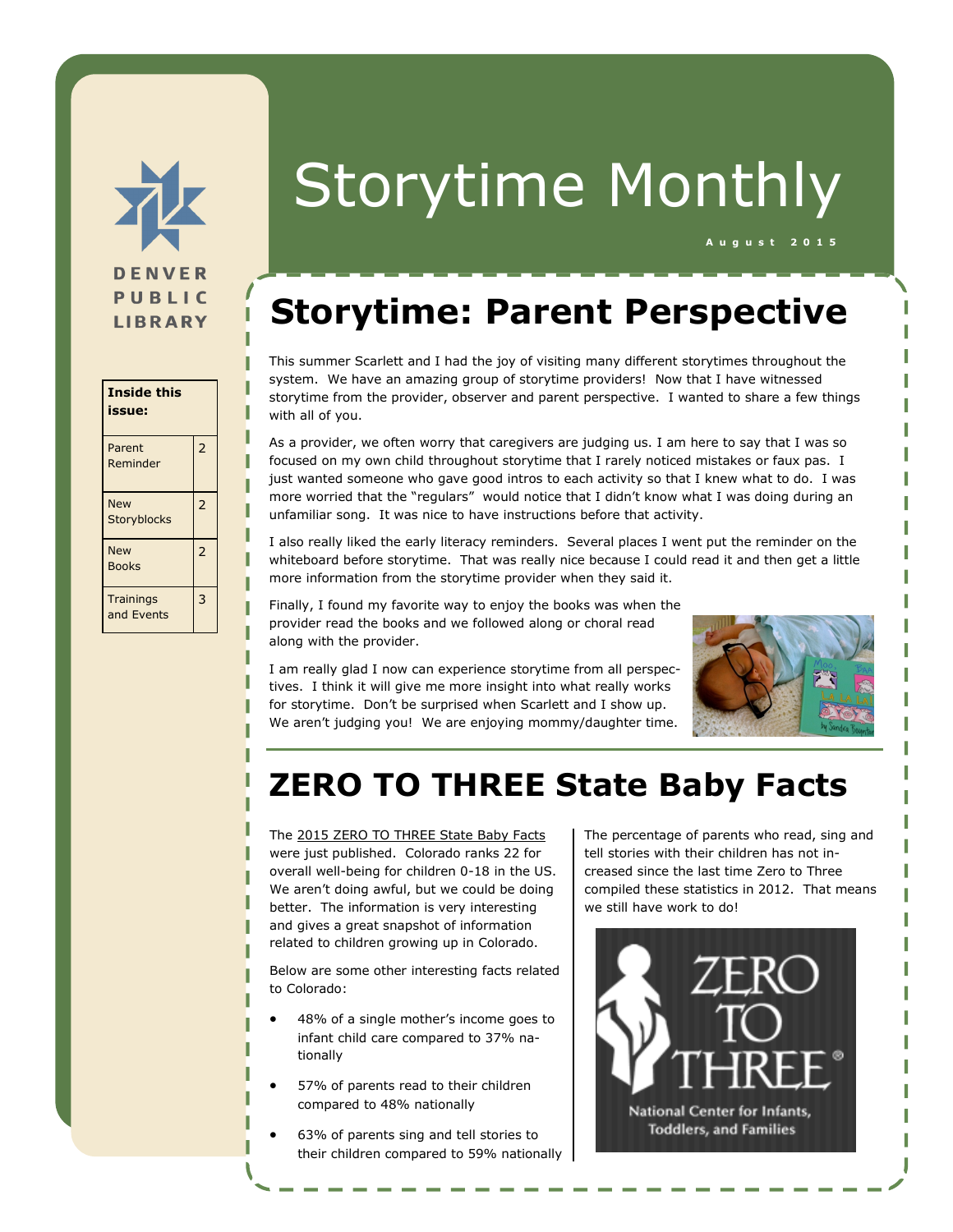

| Inside this<br>issue:          |                          |
|--------------------------------|--------------------------|
| Parent<br>Reminder             | $\overline{\phantom{0}}$ |
| <b>New</b><br>Storyblocks      | $\overline{2}$           |
| <b>New</b><br>Books            | $\overline{2}$           |
| <b>Trainings</b><br>and Events | 3                        |

# Storytime Monthly

# **Storytime: Parent Perspective**

This summer Scarlett and I had the joy of visiting many different storytimes throughout the system. We have an amazing group of storytime providers! Now that I have witnessed storytime from the provider, observer and parent perspective. I wanted to share a few things with all of you.

As a provider, we often worry that caregivers are judging us. I am here to say that I was so focused on my own child throughout storytime that I rarely noticed mistakes or faux pas. I just wanted someone who gave good intros to each activity so that I knew what to do. I was more worried that the "regulars" would notice that I didn't know what I was doing during an unfamiliar song. It was nice to have instructions before that activity.

I also really liked the early literacy reminders. Several places I went put the reminder on the whiteboard before storytime. That was really nice because I could read it and then get a little more information from the storytime provider when they said it.

Finally, I found my favorite way to enjoy the books was when the provider read the books and we followed along or choral read along with the provider.

I am really glad I now can experience storytime from all perspectives. I think it will give me more insight into what really works for storytime. Don't be surprised when Scarlett and I show up. We aren't judging you! We are enjoying mommy/daughter time.



**A u g u s t 2 0 1 5**

## **ZERO TO THREE State Baby Facts**

The [2015 ZERO TO THREE State Baby Facts](http://www.zerotothree.org/public-policy/state-community-policy/infant-and-toddler-state-fact-sheets.html?referrer=https://www.google.com/) were just published. Colorado ranks 22 for overall well-being for children 0-18 in the US. We aren't doing awful, but we could be doing better. The information is very interesting and gives a great snapshot of information related to children growing up in Colorado.

Below are some other interesting facts related to Colorado:

- 48% of a single mother's income goes to infant child care compared to 37% nationally
- 57% of parents read to their children compared to 48% nationally
- 63% of parents sing and tell stories to their children compared to 59% nationally

The percentage of parents who read, sing and tell stories with their children has not increased since the last time Zero to Three compiled these statistics in 2012. That means we still have work to do!

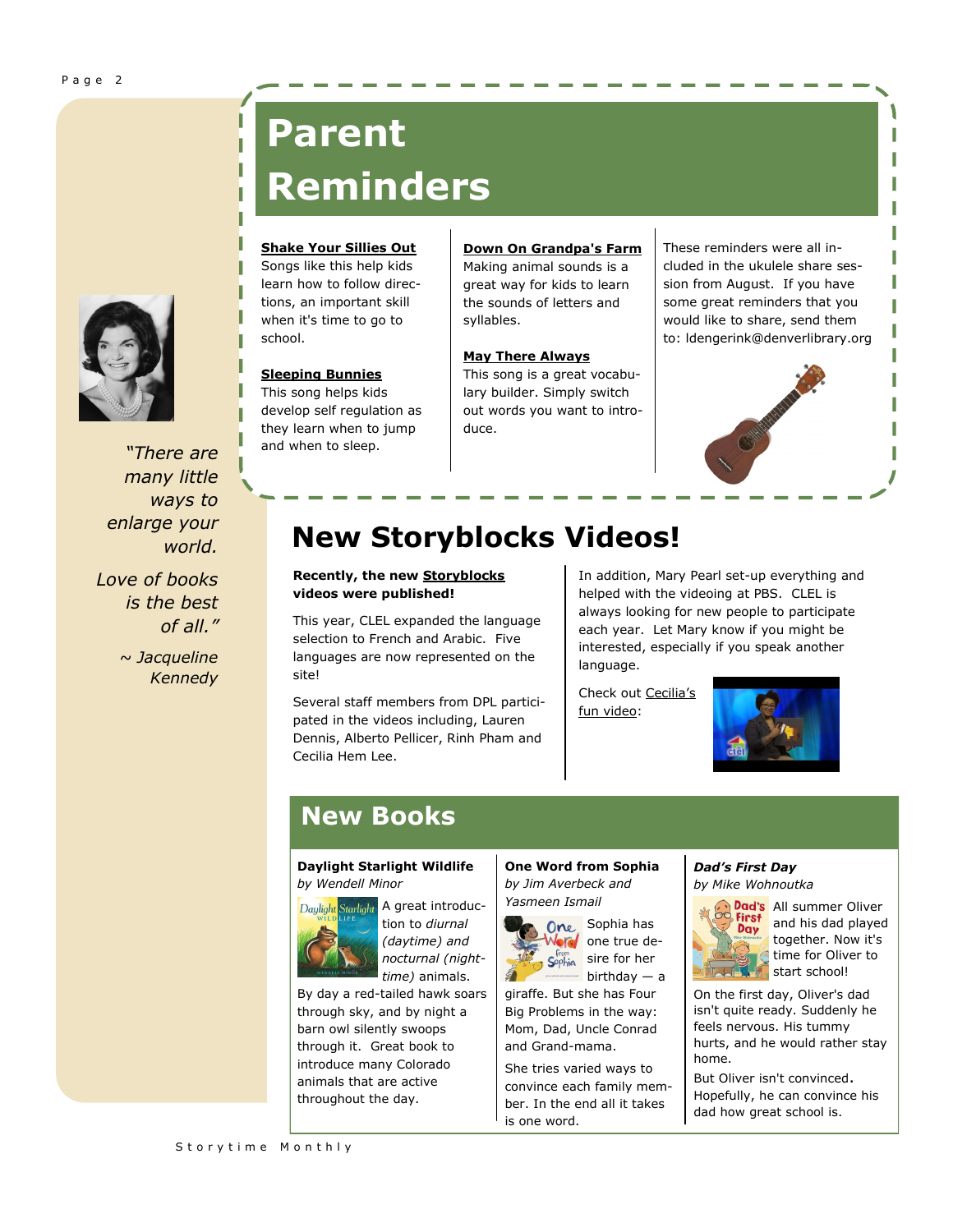

*"There are many little ways to enlarge your world. Love of books is the best* 

> *~ Jacqueline Kennedy*

*of all."*

# **Parent Reminders**

### **[Shake Your Sillies Out](https://www.youtube.com/watch?v=pDx2WUyhEsw)**

Songs like this help kids learn how to follow directions, an important skill when it's time to go to school.

#### **[Sleeping Bunnies](https://www.youtube.com/watch?v=eB7hKLVBsCQ)**

This song helps kids develop self regulation as they learn when to jump and when to sleep.

**[Down On Grandpa's Farm](https://www.youtube.com/watch?v=PCo1j13guIQ)** Making animal sounds is a great way for kids to learn the sounds of letters and syllables.

#### **[May There Always](https://www.youtube.com/watch?v=knzyY7K8g1I)**

This song is a great vocabulary builder. Simply switch out words you want to introduce.

These reminders were all included in the ukulele share session from August. If you have some great reminders that you would like to share, send them to: ldengerink@denverlibrary.org П П П



### **New Storyblocks Videos!**

### **Recently, the new [Storyblocks](http://www.storyblocks.org/) videos were published!**

This year, CLEL expanded the language selection to French and Arabic. Five languages are now represented on the site!

Several staff members from DPL participated in the videos including, Lauren Dennis, Alberto Pellicer, Rinh Pham and Cecilia Hem Lee.

In addition, Mary Pearl set-up everything and helped with the videoing at PBS. CLEL is always looking for new people to participate each year. Let Mary know if you might be interested, especially if you speak another language.

Check out [Cecilia's](http://www.storyblocks.org/videos/mi-burrito/)  [fun video:](http://www.storyblocks.org/videos/mi-burrito/)



### **New Books**

### **Daylight Starlight Wildlife**  *by Wendell Minor*

A great introduc- $\ddot{\mathbf{S}}$ tarliaht: tion to *diurnal (daytime) and nocturnal (nighttime)* animals.

By day a red-tailed hawk soars through sky, and by night a barn owl silently swoops through it. Great book to introduce many Colorado animals that are active throughout the day.

**One Word from Sophia**  *by Jim Averbeck and Yasmeen Ismail*



One Sophia has Vor one true de- $S^{from}_{\text{ophia}}$  sire for her birthday — a

giraffe. But she has Four Big Problems in the way: Mom, Dad, Uncle Conrad and Grand-mama.

She tries varied ways to convince each family member. In the end all it takes is one word.

*Dad's First Day by Mike Wohnoutka*



Dad's All summer Oliver and his dad played together. Now it's time for Oliver to start school!

On the first day, Oliver's dad isn't quite ready. Suddenly he feels nervous. His tummy hurts, and he would rather stay home.

But Oliver isn't convinced. Hopefully, he can convince his dad how great school is.